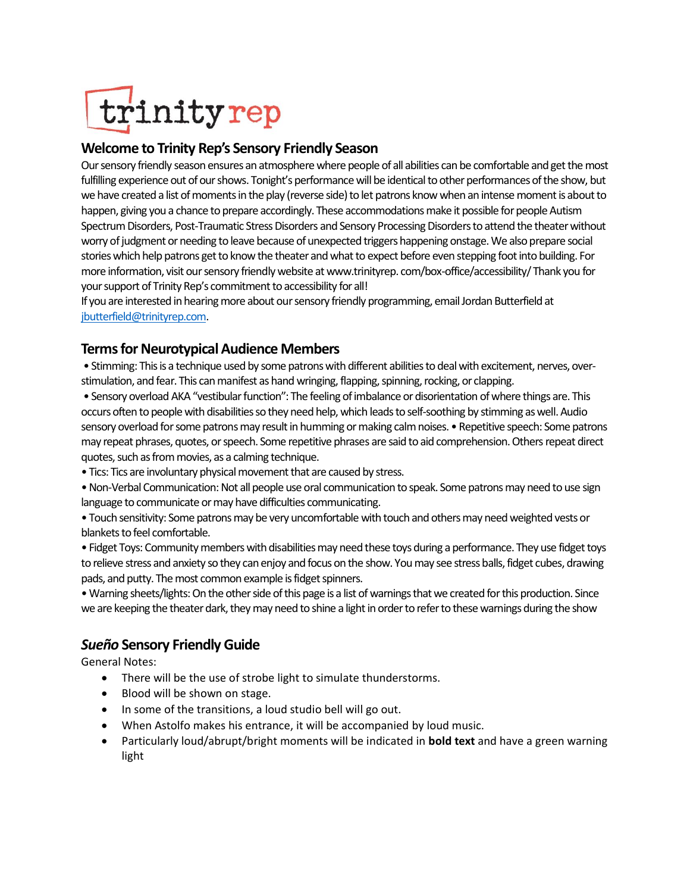# trinityrep

### **Welcome to Trinity Rep's Sensory Friendly Season**

Our sensory friendly season ensures an atmosphere where people of all abilities can be comfortable and get the most fulfilling experience out of our shows. Tonight's performance will be identical to other performances of the show, but we have created a list of moments in the play (reverse side) to let patrons know when an intense moment is about to happen, giving you a chance to prepare accordingly. These accommodations make it possible for people Autism Spectrum Disorders, Post-Traumatic Stress Disorders and Sensory Processing Disorders to attend the theater without worry of judgment or needing to leave because of unexpected triggers happening onstage. We also prepare social stories which help patrons get to know the theater and what to expect before even stepping foot into building. For more information, visit our sensory friendly website at www.trinityrep. com/box-office/accessibility/ Thank you for your support of Trinity Rep's commitment to accessibility for all!

If you are interested in hearing more about our sensory friendly programming, email Jordan Butterfield at [jbutterfield@trinityrep.com.](mailto:jbutterfield@trinityrep.com)

## **Terms for Neurotypical Audience Members**

• Stimming: This is a technique used by some patrons with different abilities to deal with excitement, nerves, overstimulation, and fear. This can manifest as hand wringing, flapping, spinning, rocking, or clapping.

• Sensory overload AKA "vestibular function": The feeling of imbalance or disorientation of where things are. This occurs often to people with disabilities so they need help, which leads to self-soothing by stimming as well. Audio sensory overload for some patrons may result in humming or making calm noises. • Repetitive speech: Some patrons may repeat phrases, quotes, or speech. Some repetitive phrases are said to aid comprehension. Others repeat direct quotes, such as from movies, as a calming technique.

• Tics: Tics are involuntary physical movement that are caused by stress.

• Non-Verbal Communication: Not all people use oral communication to speak. Some patrons may need to use sign language to communicate or may have difficulties communicating.

• Touch sensitivity: Some patrons may be very uncomfortable with touch and others may need weighted vests or blankets to feel comfortable.

• Fidget Toys: Community members with disabilities may need these toys during a performance. They use fidget toys to relieve stress and anxiety so they can enjoy and focus on the show. You may see stress balls, fidget cubes, drawing pads, and putty. The most common example is fidget spinners.

• Warning sheets/lights: On the other side of this page is a list of warnings that we created for this production. Since we are keeping the theater dark, they may need to shine a light in order to refer to these warnings during the show

## *Sueño* **Sensory Friendly Guide**

General Notes:

- There will be the use of strobe light to simulate thunderstorms.
- Blood will be shown on stage.
- In some of the transitions, a loud studio bell will go out.
- When Astolfo makes his entrance, it will be accompanied by loud music.
- Particularly loud/abrupt/bright moments will be indicated in **bold text** and have a green warning light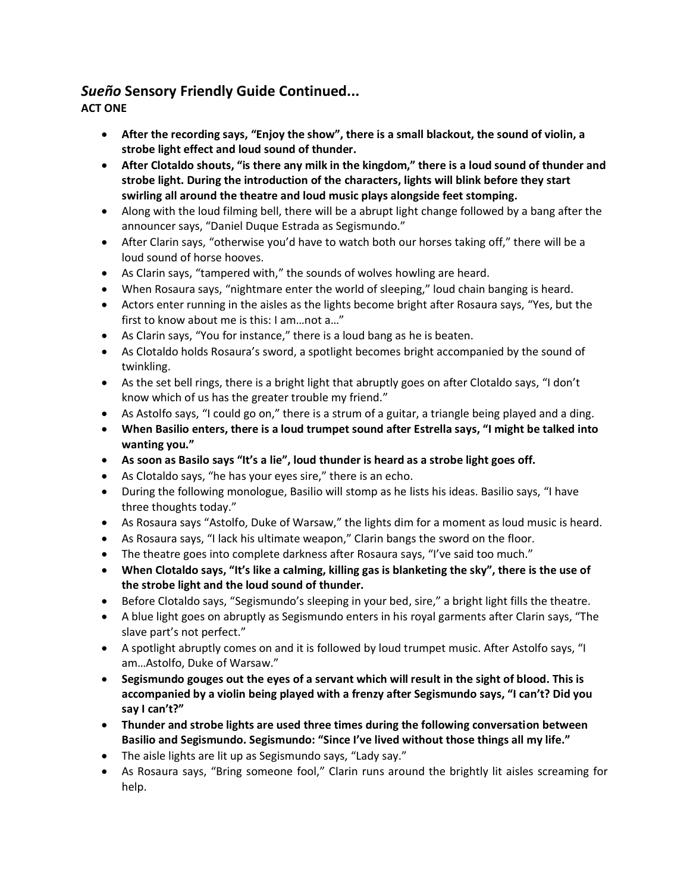# *Sueño* **Sensory Friendly Guide Continued...**

**ACT ONE**

- **After the recording says, "Enjoy the show", there is a small blackout, the sound of violin, a strobe light effect and loud sound of thunder.**
- **After Clotaldo shouts, "is there any milk in the kingdom," there is a loud sound of thunder and strobe light. During the introduction of the characters, lights will blink before they start swirling all around the theatre and loud music plays alongside feet stomping.**
- Along with the loud filming bell, there will be a abrupt light change followed by a bang after the announcer says, "Daniel Duque Estrada as Segismundo."
- After Clarin says, "otherwise you'd have to watch both our horses taking off," there will be a loud sound of horse hooves.
- As Clarin says, "tampered with," the sounds of wolves howling are heard.
- When Rosaura says, "nightmare enter the world of sleeping," loud chain banging is heard.
- Actors enter running in the aisles as the lights become bright after Rosaura says, "Yes, but the first to know about me is this: I am…not a…"
- As Clarin says, "You for instance," there is a loud bang as he is beaten.
- As Clotaldo holds Rosaura's sword, a spotlight becomes bright accompanied by the sound of twinkling.
- As the set bell rings, there is a bright light that abruptly goes on after Clotaldo says, "I don't know which of us has the greater trouble my friend."
- As Astolfo says, "I could go on," there is a strum of a guitar, a triangle being played and a ding.
- **When Basilio enters, there is a loud trumpet sound after Estrella says, "I might be talked into wanting you."**
- **As soon as Basilo says "It's a lie", loud thunder is heard as a strobe light goes off.**
- As Clotaldo says, "he has your eyes sire," there is an echo.
- During the following monologue, Basilio will stomp as he lists his ideas. Basilio says, "I have three thoughts today."
- As Rosaura says "Astolfo, Duke of Warsaw," the lights dim for a moment as loud music is heard.
- As Rosaura says, "I lack his ultimate weapon," Clarin bangs the sword on the floor.
- The theatre goes into complete darkness after Rosaura says, "I've said too much."
- **When Clotaldo says, "It's like a calming, killing gas is blanketing the sky", there is the use of the strobe light and the loud sound of thunder.**
- Before Clotaldo says, "Segismundo's sleeping in your bed, sire," a bright light fills the theatre.
- A blue light goes on abruptly as Segismundo enters in his royal garments after Clarin says, "The slave part's not perfect."
- A spotlight abruptly comes on and it is followed by loud trumpet music. After Astolfo says, "I am…Astolfo, Duke of Warsaw."
- **Segismundo gouges out the eyes of a servant which will result in the sight of blood. This is accompanied by a violin being played with a frenzy after Segismundo says, "I can't? Did you say I can't?"**
- **Thunder and strobe lights are used three times during the following conversation between Basilio and Segismundo. Segismundo: "Since I've lived without those things all my life."**
- The aisle lights are lit up as Segismundo says, "Lady say."
- As Rosaura says, "Bring someone fool," Clarin runs around the brightly lit aisles screaming for help.